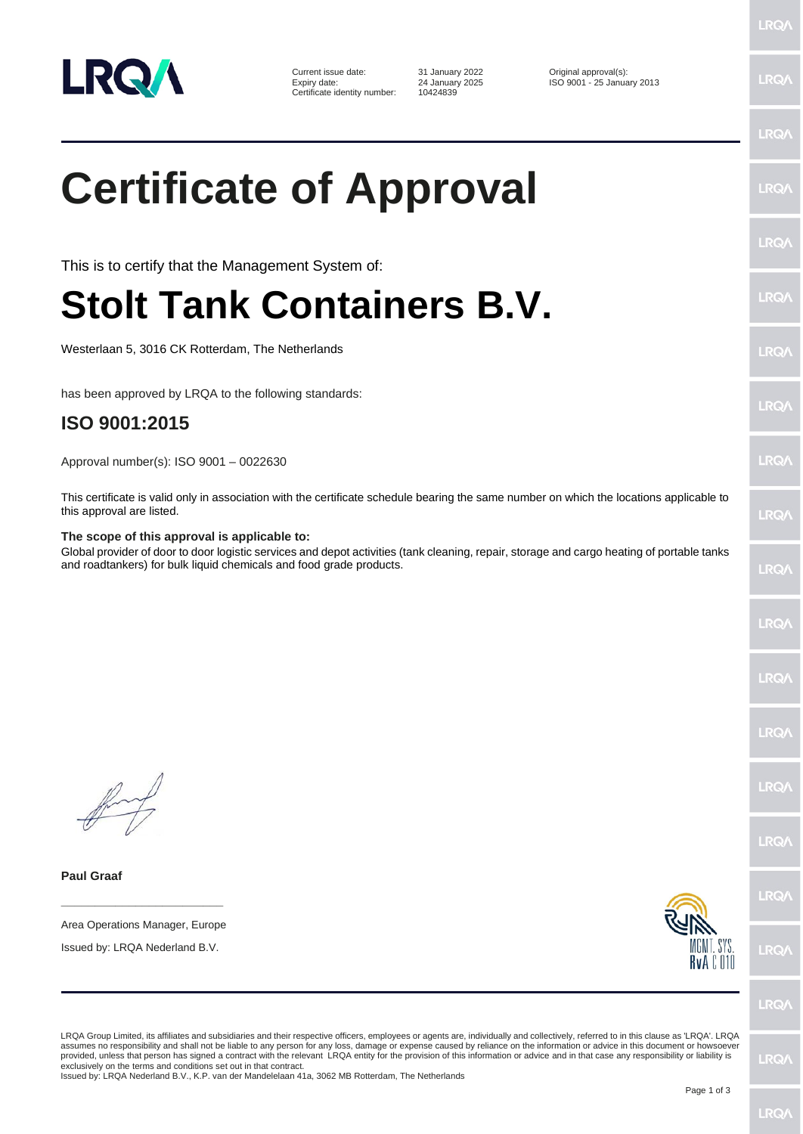

Current issue date: 31 January 2022 <br>
Expiry date: 24 January 2025 ISO 9001 - 25 January 2025 Certificate identity number:

Expiry date: 24 January 2025 ISO 9001 - 25 January 2013

## **Certificate of Approval**

This is to certify that the Management System of:

## **Stolt Tank Containers B.V.**

Westerlaan 5, 3016 CK Rotterdam, The Netherlands

has been approved by LRQA to the following standards:

## **ISO 9001:2015**

Approval number(s): ISO 9001 – 0022630

This certificate is valid only in association with the certificate schedule bearing the same number on which the locations applicable to this approval are listed.

## **The scope of this approval is applicable to:**

Global provider of door to door logistic services and depot activities (tank cleaning, repair, storage and cargo heating of portable tanks and roadtankers) for bulk liquid chemicals and food grade products.

**Paul Graaf**

**\_\_\_\_\_\_\_\_\_\_\_\_\_\_\_\_\_\_\_\_\_\_\_\_** Area Operations Manager, Europe

Issued by: LRQA Nederland B.V.



**IRQ** 

LRQA Group Limited, its affiliates and subsidiaries and their respective officers, employees or agents are, individually and collectively, referred to in this clause as 'LRQA'. LRQA assumes no responsibility and shall not be liable to any person for any loss, damage or expense caused by reliance on the information or advice in this document or howsoever provided, unless that person has signed a contract with the relevant LRQA entity for the provision of this information or advice and in that case any responsibility or liability is<br>exclusively on the terms and conditions s

Issued by: LRQA Nederland B.V., K.P. van der Mandelelaan 41a, 3062 MB Rotterdam, The Netherlands

LRQ/

LRQ/

LRQ/

LRQ/

LRQ/

LRQ/

**LRQ/** 

LRQ/

LRQ/

LRQ/

**LRQ/** 

LRQ/

LRQ/

LRQ/

LRQ/

LRQ/

LRQ/

LRQ/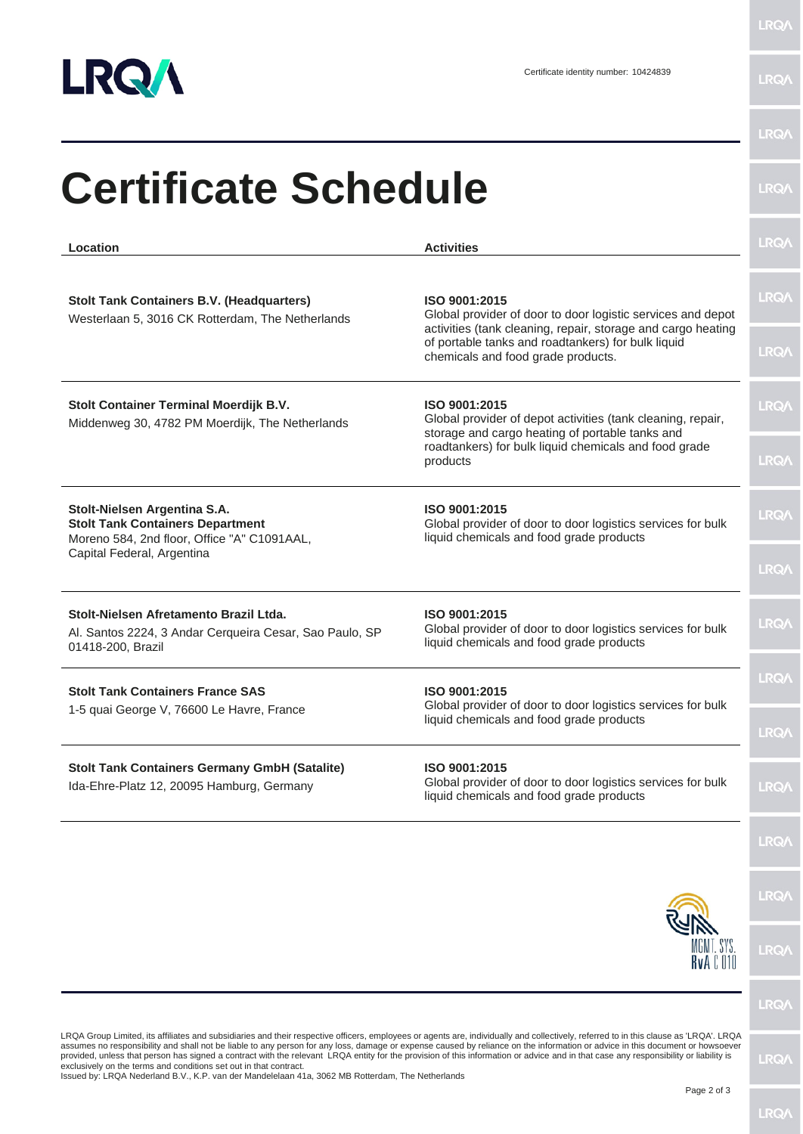

LRQ/\

| Location                                                                                                                                             | <b>Activities</b>                                                                                                                                                                                                                        | LRQ/        |
|------------------------------------------------------------------------------------------------------------------------------------------------------|------------------------------------------------------------------------------------------------------------------------------------------------------------------------------------------------------------------------------------------|-------------|
| <b>Stolt Tank Containers B.V. (Headquarters)</b><br>Westerlaan 5, 3016 CK Rotterdam, The Netherlands                                                 | ISO 9001:2015<br>Global provider of door to door logistic services and depot<br>activities (tank cleaning, repair, storage and cargo heating<br>of portable tanks and roadtankers) for bulk liquid<br>chemicals and food grade products. | <b>LRQ/</b> |
|                                                                                                                                                      |                                                                                                                                                                                                                                          | <b>LRQA</b> |
| Stolt Container Terminal Moerdijk B.V.<br>Middenweg 30, 4782 PM Moerdijk, The Netherlands                                                            | ISO 9001:2015<br>Global provider of depot activities (tank cleaning, repair,<br>storage and cargo heating of portable tanks and<br>roadtankers) for bulk liquid chemicals and food grade<br>products                                     | LRQ/        |
|                                                                                                                                                      |                                                                                                                                                                                                                                          | <b>LRQA</b> |
| Stolt-Nielsen Argentina S.A.<br><b>Stolt Tank Containers Department</b><br>Moreno 584, 2nd floor, Office "A" C1091AAL,<br>Capital Federal, Argentina | ISO 9001:2015<br>Global provider of door to door logistics services for bulk<br>liquid chemicals and food grade products                                                                                                                 | LRQ/        |
|                                                                                                                                                      |                                                                                                                                                                                                                                          | <b>LRQ/</b> |
| Stolt-Nielsen Afretamento Brazil Ltda.<br>Al. Santos 2224, 3 Andar Cerqueira Cesar, Sao Paulo, SP<br>01418-200, Brazil                               | ISO 9001:2015<br>Global provider of door to door logistics services for bulk<br>liquid chemicals and food grade products                                                                                                                 | <b>LRQ/</b> |
| <b>Stolt Tank Containers France SAS</b>                                                                                                              | ISO 9001:2015                                                                                                                                                                                                                            | LRQ/        |
| 1-5 quai George V, 76600 Le Havre, France                                                                                                            | Global provider of door to door logistics services for bulk<br>liquid chemicals and food grade products                                                                                                                                  | LRQ/        |
| <b>Stolt Tank Containers Germany GmbH (Satalite)</b><br>Ida-Ehre-Platz 12, 20095 Hamburg, Germany                                                    | ISO 9001:2015<br>Global provider of door to door logistics services for bulk<br>liquid chemicals and food grade products                                                                                                                 | LRQ/        |
|                                                                                                                                                      |                                                                                                                                                                                                                                          | LRQ/        |
|                                                                                                                                                      |                                                                                                                                                                                                                                          | LRQ/        |
|                                                                                                                                                      | MGMT. SYS.<br>RvA C 010                                                                                                                                                                                                                  | <b>LRQ/</b> |
|                                                                                                                                                      |                                                                                                                                                                                                                                          | LRQ/        |